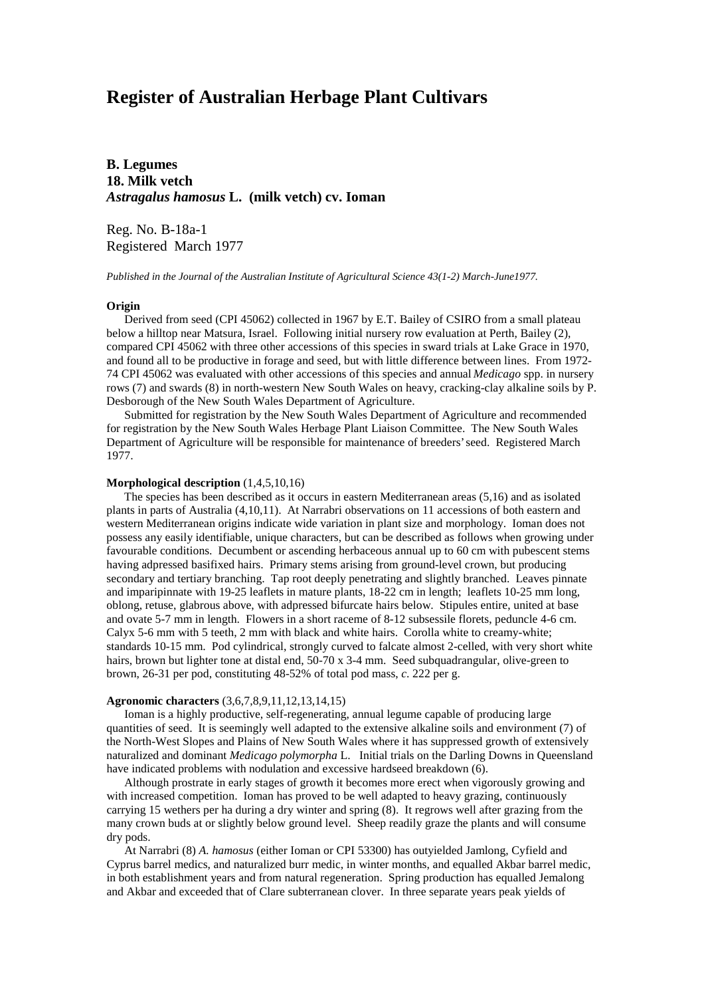# **Register of Australian Herbage Plant Cultivars**

**B. Legumes 18. Milk vetch** *Astragalus hamosus* **L. (milk vetch) cv. Ioman**

Reg. No. B-18a-1 Registered March 1977

*Published in the Journal of the Australian Institute of Agricultural Science 43(1-2) March-June1977.*

## **Origin**

 Derived from seed (CPI 45062) collected in 1967 by E.T. Bailey of CSIRO from a small plateau below a hilltop near Matsura, Israel. Following initial nursery row evaluation at Perth, Bailey (2), compared CPI 45062 with three other accessions of this species in sward trials at Lake Grace in 1970, and found all to be productive in forage and seed, but with little difference between lines. From 1972- 74 CPI 45062 was evaluated with other accessions of this species and annual *Medicago* spp. in nursery rows (7) and swards (8) in north-western New South Wales on heavy, cracking-clay alkaline soils by P. Desborough of the New South Wales Department of Agriculture.

 Submitted for registration by the New South Wales Department of Agriculture and recommended for registration by the New South Wales Herbage Plant Liaison Committee. The New South Wales Department of Agriculture will be responsible for maintenance of breeders' seed. Registered March 1977.

## **Morphological description** (1,4,5,10,16)

 The species has been described as it occurs in eastern Mediterranean areas (5,16) and as isolated plants in parts of Australia (4,10,11). At Narrabri observations on 11 accessions of both eastern and western Mediterranean origins indicate wide variation in plant size and morphology. Ioman does not possess any easily identifiable, unique characters, but can be described as follows when growing under favourable conditions. Decumbent or ascending herbaceous annual up to 60 cm with pubescent stems having adpressed basifixed hairs. Primary stems arising from ground-level crown, but producing secondary and tertiary branching. Tap root deeply penetrating and slightly branched. Leaves pinnate and imparipinnate with 19-25 leaflets in mature plants, 18-22 cm in length; leaflets 10-25 mm long, oblong, retuse, glabrous above, with adpressed bifurcate hairs below. Stipules entire, united at base and ovate 5-7 mm in length. Flowers in a short raceme of 8-12 subsessile florets, peduncle 4-6 cm. Calyx 5-6 mm with 5 teeth, 2 mm with black and white hairs. Corolla white to creamy-white; standards 10-15 mm. Pod cylindrical, strongly curved to falcate almost 2-celled, with very short white hairs, brown but lighter tone at distal end, 50-70 x 3-4 mm. Seed subquadrangular, olive-green to brown, 26-31 per pod, constituting 48-52% of total pod mass, *c*. 222 per g.

#### **Agronomic characters** (3,6,7,8,9,11,12,13,14,15)

 Ioman is a highly productive, self-regenerating, annual legume capable of producing large quantities of seed. It is seemingly well adapted to the extensive alkaline soils and environment (7) of the North-West Slopes and Plains of New South Wales where it has suppressed growth of extensively naturalized and dominant *Medicago polymorpha* L. Initial trials on the Darling Downs in Queensland have indicated problems with nodulation and excessive hardseed breakdown (6).

 Although prostrate in early stages of growth it becomes more erect when vigorously growing and with increased competition. Ioman has proved to be well adapted to heavy grazing, continuously carrying 15 wethers per ha during a dry winter and spring (8). It regrows well after grazing from the many crown buds at or slightly below ground level. Sheep readily graze the plants and will consume dry pods.

 At Narrabri (8) *A. hamosus* (either Ioman or CPI 53300) has outyielded Jamlong, Cyfield and Cyprus barrel medics, and naturalized burr medic, in winter months, and equalled Akbar barrel medic, in both establishment years and from natural regeneration. Spring production has equalled Jemalong and Akbar and exceeded that of Clare subterranean clover. In three separate years peak yields of